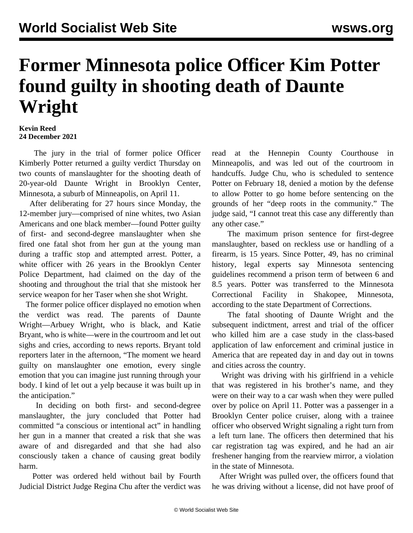## **Former Minnesota police Officer Kim Potter found guilty in shooting death of Daunte Wright**

## **Kevin Reed 24 December 2021**

 The jury in the trial of former police Officer Kimberly Potter returned a guilty verdict Thursday on two counts of manslaughter for the shooting death of 20-year-old Daunte Wright in Brooklyn Center, Minnesota, a suburb of Minneapolis, on April 11.

 After deliberating for 27 hours since Monday, the 12-member jury—comprised of nine whites, two Asian Americans and one black member—found Potter guilty of first- and second-degree manslaughter when she fired one fatal shot from her gun at the young man during a traffic stop and attempted arrest. Potter, a white officer with 26 years in the Brooklyn Center Police Department, had claimed on the day of the shooting and throughout the trial that she mistook her service weapon for her Taser when she shot Wright.

 The former police officer displayed no emotion when the verdict was read. The parents of Daunte Wright—Arbuey Wright, who is black, and Katie Bryant, who is white—were in the courtroom and let out sighs and cries, according to news reports. Bryant told reporters later in the afternoon, "The moment we heard guilty on manslaughter one emotion, every single emotion that you can imagine just running through your body. I kind of let out a yelp because it was built up in the anticipation."

 In deciding on both first- and second-degree manslaughter, the jury concluded that Potter had committed "a conscious or intentional act" in handling her gun in a manner that created a risk that she was aware of and disregarded and that she had also consciously taken a chance of causing great bodily harm.

 Potter was ordered held without bail by Fourth Judicial District Judge Regina Chu after the verdict was

read at the Hennepin County Courthouse in Minneapolis, and was led out of the courtroom in handcuffs. Judge Chu, who is scheduled to sentence Potter on February 18, denied a motion by the defense to allow Potter to go home before sentencing on the grounds of her "deep roots in the community." The judge said, "I cannot treat this case any differently than any other case."

 The maximum prison sentence for first-degree manslaughter, based on reckless use or handling of a firearm, is 15 years. Since Potter, 49, has no criminal history, legal experts say Minnesota sentencing guidelines recommend a prison term of between 6 and 8.5 years. Potter was transferred to the Minnesota Correctional Facility in Shakopee, Minnesota, according to the state Department of Corrections.

 The fatal shooting of Daunte Wright and the subsequent indictment, arrest and trial of the officer who killed him are a case study in the class-based application of law enforcement and criminal justice in America that are repeated day in and day out in towns and cities across the country.

 Wright was driving with his girlfriend in a vehicle that was registered in his brother's name, and they were on their way to a car wash when they were pulled over by police on April 11. Potter was a passenger in a Brooklyn Center police cruiser, along with a trainee officer who observed Wright signaling a right turn from a left turn lane. The officers then determined that his car registration tag was expired, and he had an air freshener hanging from the rearview mirror, a violation in the state of Minnesota.

 After Wright was pulled over, the officers found that he was driving without a license, did not have proof of